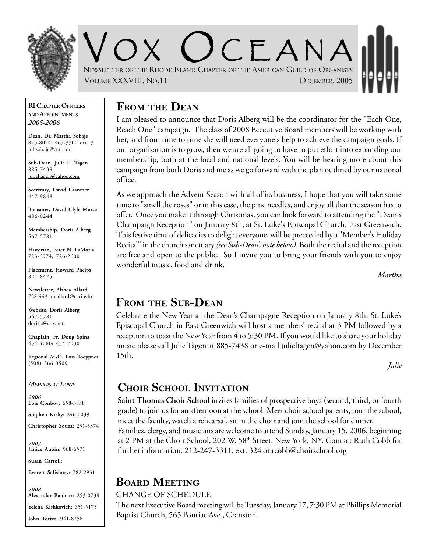

V O X O CEANA NEWSLETTER OF THE RHODE ISLAND CHAPTER OF THE AMERICAN GUILD OF ORGANISTS VOLUME XXXVIII, NO.11 DECEMBER, 2005

#### **RI CHAPTER OFFICERS AND APPOINTMENTS** *2005-2006*

**Dean, Dr. Martha Sobaje** 823-8024; 467-3300 ext. 3 mhsobaje@ccri.edu

**Sub-Dean, Julie L. Tagen** 885-7438 julieltagen@yahoo.com

**Secretary, David Cranmer** 447-9848

**Treasurer, David Clyle Morse** 486-0244

**Membership, Doris Alberg** 567-5781

**Historian, Peter N. LaMoria** 723-6974; 726-2600

**Placement, Howard Phelps** 821-8475

**Newsletter, Althea Allard** 728-4431; aallard@ccri.edu

**Website**, **Doris Alberg** 567-5781 dorisja@cox.net

**Chaplain, Fr. Doug Spina** 434-4060; 434-7030

**Regional AGO, Lois Toeppner** (508) 366-0509

#### *MEMBERS-AT-LARGE*

*2006* **Lois Conboy:** 658-3838

**Stephen Kirby:** 246-0039

**Christopher Souza:** 231-5374

*2007* **Janice Aubin**: 568-6571

**Susan Carroll:**

**Everett Salisbury:** 782-2931

*2008* **Alexander Bauhart:** 253-0738 **Yelena Kishkovich:** 651-5175 **John Totter:** 941-8258

## **FROM THE DEAN**

I am pleased to announce that Doris Alberg will be the coordinator for the "Each One, Reach One" campaign. The class of 2008 Ececutive Board members will be working with her, and from time to time she will need everyone's help to achieve the campaign goals. If our organization is to grow, then we are all going to have to put effort into expanding our membership, both at the local and national levels. You will be hearing more about this campaign from both Doris and me as we go forward with the plan outlined by our national office.

As we approach the Advent Season with all of its business, I hope that you will take some time to "smell the roses" or in this case, the pine needles, and enjoy all that the season has to offer. Once you make it through Christmas, you can look forward to attending the "Dean's Champaign Reception" on January 8th, at St. Luke's Episcopal Church, East Greenwich. This festive time of delicacies to delight everyone, will be preceeded by a "Member's Holiday Recital" in the church sanctuary *(see Sub-Dean's note below)*. Both the recital and the reception are free and open to the public. So I invite you to bring your friends with you to enjoy wonderful music, food and drink.

*Martha*

## **FROM THE SUB-DEAN**

Celebrate the New Year at the Dean's Champagne Reception on January 8th. St. Luke's Episcopal Church in East Greenwich will host a members' recital at 3 PM followed by a reception to toast the New Year from 4 to 5:30 PM. If you would like to share your holiday music please call Julie Tagen at 885-7438 or e-mail julieltagen@yahoo.com by December 15th.

*Julie*

## **CHOIR SCHOOL INVITATION**

**Saint Thomas Choir School** invites families of prospective boys (second, third, or fourth grade) to join us for an afternoon at the school. Meet choir school parents, tour the school, meet the faculty, watch a rehearsal, sit in the choir and join the school for dinner. Families, clergy, and musicians are welcome to attend Sunday, January 15, 2006, beginning at 2 PM at the Choir School, 202 W. 58<sup>th</sup> Street, New York, NY. Contact Ruth Cobb for

further information. 212-247-3311, ext. 324 or rcobb@choirschool.org

# **BOARD MEETING**

### CHANGE OF SCHEDULE

The next Executive Board meeting will be Tuesday, January 17, 7:30 PM at Phillips Memorial Baptist Church, 565 Pontiac Ave., Cranston.